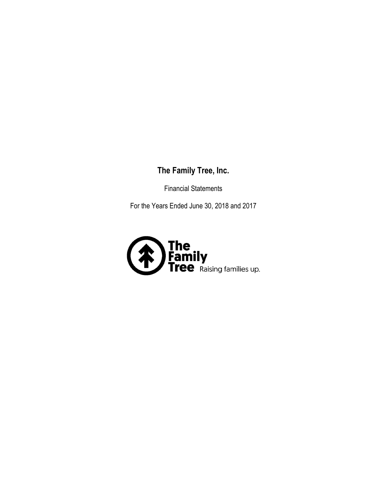# **The Family Tree, Inc.**

Financial Statements

For the Years Ended June 30, 2018 and 2017

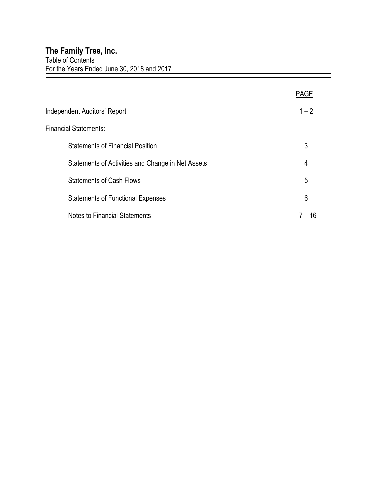|                                                   | PAGE     |
|---------------------------------------------------|----------|
| <b>Independent Auditors' Report</b>               | $1 - 2$  |
| <b>Financial Statements:</b>                      |          |
| <b>Statements of Financial Position</b>           | 3        |
| Statements of Activities and Change in Net Assets | 4        |
| <b>Statements of Cash Flows</b>                   | 5        |
| <b>Statements of Functional Expenses</b>          | 6        |
| <b>Notes to Financial Statements</b>              | $7 - 16$ |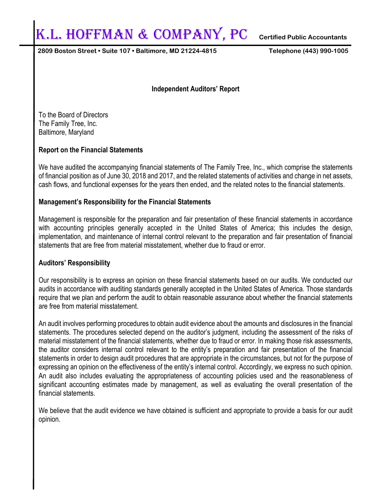# K.l. Hoffman & Company, PC **Certified Public Accountants**

**2809 Boston Street • Suite 107 • Baltimore, MD 21224-4815 Telephone (443) 990-1005**

#### **Independent Auditors' Report**

To the Board of Directors The Family Tree, Inc. Baltimore, Maryland

#### **Report on the Financial Statements**

We have audited the accompanying financial statements of The Family Tree, Inc., which comprise the statements of financial position as of June 30, 2018 and 2017, and the related statements of activities and change in net assets, cash flows, and functional expenses for the years then ended, and the related notes to the financial statements.

#### **Management's Responsibility for the Financial Statements**

Management is responsible for the preparation and fair presentation of these financial statements in accordance with accounting principles generally accepted in the United States of America; this includes the design, implementation, and maintenance of internal control relevant to the preparation and fair presentation of financial statements that are free from material misstatement, whether due to fraud or error.

#### **Auditors' Responsibility**

Our responsibility is to express an opinion on these financial statements based on our audits. We conducted our audits in accordance with auditing standards generally accepted in the United States of America. Those standards require that we plan and perform the audit to obtain reasonable assurance about whether the financial statements are free from material misstatement.

An audit involves performing procedures to obtain audit evidence about the amounts and disclosures in the financial statements. The procedures selected depend on the auditor's judgment, including the assessment of the risks of material misstatement of the financial statements, whether due to fraud or error. In making those risk assessments, the auditor considers internal control relevant to the entity's preparation and fair presentation of the financial statements in order to design audit procedures that are appropriate in the circumstances, but not for the purpose of expressing an opinion on the effectiveness of the entity's internal control. Accordingly, we express no such opinion. An audit also includes evaluating the appropriateness of accounting policies used and the reasonableness of significant accounting estimates made by management, as well as evaluating the overall presentation of the financial statements.

We believe that the audit evidence we have obtained is sufficient and appropriate to provide a basis for our audit opinion.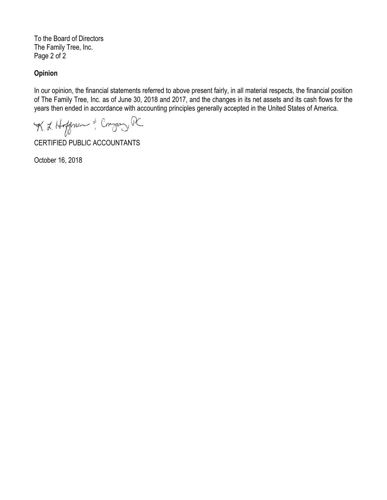To the Board of Directors The Family Tree, Inc. Page 2 of 2

#### **Opinion**

In our opinion, the financial statements referred to above present fairly, in all material respects, the financial position of The Family Tree, Inc. as of June 30, 2018 and 2017, and the changes in its net assets and its cash flows for the years then ended in accordance with accounting principles generally accepted in the United States of America.

K. L. Hoffman & Congaz R

CERTIFIED PUBLIC ACCOUNTANTS

October 16, 2018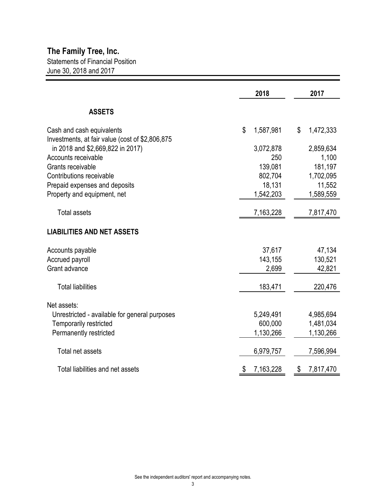|                                                 | 2018            | 2017            |
|-------------------------------------------------|-----------------|-----------------|
| <b>ASSETS</b>                                   |                 |                 |
| Cash and cash equivalents                       | \$<br>1,587,981 | \$<br>1,472,333 |
| Investments, at fair value (cost of \$2,806,875 |                 |                 |
| in 2018 and \$2,669,822 in 2017)                | 3,072,878       | 2,859,634       |
| Accounts receivable                             | 250             | 1,100           |
| Grants receivable                               | 139,081         | 181,197         |
| Contributions receivable                        | 802,704         | 1,702,095       |
| Prepaid expenses and deposits                   | 18,131          | 11,552          |
| Property and equipment, net                     | 1,542,203       | 1,589,559       |
| <b>Total assets</b>                             | 7,163,228       | 7,817,470       |
| <b>LIABILITIES AND NET ASSETS</b>               |                 |                 |
| Accounts payable                                | 37,617          | 47,134          |
| <b>Accrued payroll</b>                          | 143,155         | 130,521         |
| Grant advance                                   | 2,699           | 42,821          |
| <b>Total liabilities</b>                        | 183,471         | 220,476         |
| Net assets:                                     |                 |                 |
| Unrestricted - available for general purposes   | 5,249,491       | 4,985,694       |
| Temporarily restricted                          | 600,000         | 1,481,034       |
| Permanently restricted                          | 1,130,266       | 1,130,266       |
|                                                 |                 |                 |
| Total net assets                                | 6,979,757       | 7,596,994       |
| Total liabilities and net assets                | \$<br>7,163,228 | \$<br>7,817,470 |
|                                                 |                 |                 |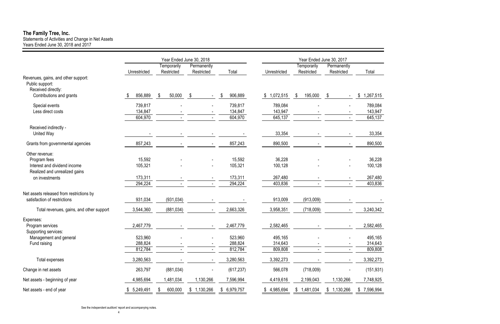Statements of Activities and Change in Net Assets Years Ended June 30, 2018 and 2017

|                                                                              |              |               | Year Ended June 30, 2018 |               | Year Ended June 30, 2017 |               |                          |                 |  |  |
|------------------------------------------------------------------------------|--------------|---------------|--------------------------|---------------|--------------------------|---------------|--------------------------|-----------------|--|--|
|                                                                              |              | Temporarily   | Permanently              |               |                          | Temporarily   | Permanently              |                 |  |  |
|                                                                              | Unrestricted | Restricted    | Restricted               | Total         | Unrestricted             | Restricted    | Restricted               | Total           |  |  |
| Revenues, gains, and other support:<br>Public support:<br>Received directly: |              |               |                          |               |                          |               |                          |                 |  |  |
| Contributions and grants                                                     | 856,889      | 50,000<br>\$  | -\$                      | 906,889<br>\$ | 1,072,515<br>\$          | 195,000<br>\$ | \$                       | 1,267,515<br>\$ |  |  |
| Special events                                                               | 739,817      |               |                          | 739,817       | 789,084                  |               |                          | 789,084         |  |  |
| Less direct costs                                                            | 134,847      |               | $\blacksquare$           | 134,847       | 143,947                  |               | $\overline{\phantom{a}}$ | 143,947         |  |  |
|                                                                              | 604,970      |               |                          | 604,970       | 645,137                  |               |                          | 645,137         |  |  |
| Received indirectly -<br><b>United Way</b>                                   |              |               |                          |               | 33,354                   |               |                          | 33,354          |  |  |
| Grants from governmental agencies                                            | 857,243      |               |                          | 857,243       | 890,500                  |               |                          | 890,500         |  |  |
| Other revenue:                                                               |              |               |                          |               |                          |               |                          |                 |  |  |
| Program fees                                                                 | 15,592       |               |                          | 15,592        | 36,228                   |               |                          | 36,228          |  |  |
| Interest and dividend income<br>Realized and unrealized gains                | 105,321      |               |                          | 105,321       | 100,128                  |               |                          | 100,128         |  |  |
| on investments                                                               | 173,311      |               |                          | 173,311       | 267,480                  |               |                          | 267,480         |  |  |
|                                                                              | 294,224      |               |                          | 294,224       | 403,836                  |               |                          | 403,836         |  |  |
| Net assets released from restrictions by                                     |              |               |                          |               |                          |               |                          |                 |  |  |
| satisfaction of restrictions                                                 | 931,034      | (931, 034)    |                          |               | 913,009                  | (913,009)     |                          |                 |  |  |
| Total revenues, gains, and other support                                     | 3,544,360    | (881, 034)    | $\blacksquare$           | 2,663,326     | 3,958,351                | (718,009)     |                          | 3,240,342       |  |  |
| Expenses:                                                                    |              |               |                          |               |                          |               |                          |                 |  |  |
| Program services                                                             | 2,467,779    |               |                          | 2,467,779     | 2,582,465                |               |                          | 2,582,465       |  |  |
| Supporting services:                                                         |              |               |                          |               |                          |               |                          |                 |  |  |
| Management and general                                                       | 523,960      |               | $\blacksquare$           | 523,960       | 495,165                  |               | $\overline{\phantom{a}}$ | 495,165         |  |  |
| Fund raising                                                                 | 288,824      |               |                          | 288,824       | 314,643                  |               |                          | 314,643         |  |  |
|                                                                              | 812,784      |               | $\blacksquare$           | 812,784       | 809,808                  |               | $\blacksquare$           | 809,808         |  |  |
| Total expenses                                                               | 3,280,563    |               |                          | 3,280,563     | 3,392,273                |               |                          | 3,392,273       |  |  |
| Change in net assets                                                         | 263,797      | (881, 034)    |                          | (617, 237)    | 566,078                  | (718,009)     |                          | (151, 931)      |  |  |
| Net assets - beginning of year                                               | 4,985,694    | 1,481,034     | 1,130,266                | 7,596,994     | 4,419,616                | 2,199,043     | 1,130,266                | 7,748,925       |  |  |
| Net assets - end of year                                                     | 5,249,491    | 600,000<br>\$ | \$1,130,266              | \$6,979,757   | \$4,985,694              | \$1,481,034   | \$1,130,266              | \$7,596,994     |  |  |

# **The Family Tree, Inc.**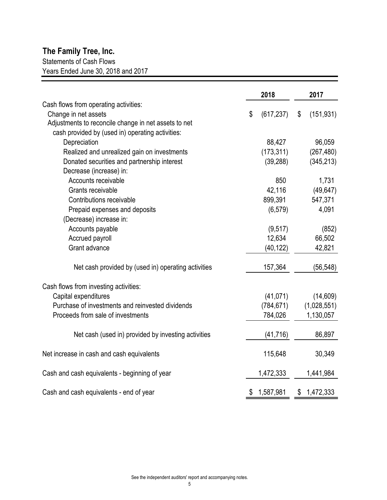# **The Family Tree, Inc.**

Statements of Cash Flows

Years Ended June 30, 2018 and 2017

|                                                      | 2018             | 2017             |
|------------------------------------------------------|------------------|------------------|
| Cash flows from operating activities:                |                  |                  |
| Change in net assets                                 | \$<br>(617, 237) | \$<br>(151, 931) |
| Adjustments to reconcile change in net assets to net |                  |                  |
| cash provided by (used in) operating activities:     |                  |                  |
| Depreciation                                         | 88,427           | 96,059           |
| Realized and unrealized gain on investments          | (173, 311)       | (267, 480)       |
| Donated securities and partnership interest          | (39, 288)        | (345, 213)       |
| Decrease (increase) in:                              |                  |                  |
| Accounts receivable                                  | 850              | 1,731            |
| Grants receivable                                    | 42,116           | (49, 647)        |
| Contributions receivable                             | 899,391          | 547,371          |
| Prepaid expenses and deposits                        | (6, 579)         | 4,091            |
| (Decrease) increase in:                              |                  |                  |
| Accounts payable                                     | (9, 517)         | (852)            |
| Accrued payroll                                      | 12,634           | 66,502           |
| Grant advance                                        | (40, 122)        | 42,821           |
| Net cash provided by (used in) operating activities  | 157,364          | (56, 548)        |
| Cash flows from investing activities:                |                  |                  |
| Capital expenditures                                 | (41, 071)        | (14, 609)        |
| Purchase of investments and reinvested dividends     | (784, 671)       | (1,028,551)      |
| Proceeds from sale of investments                    | 784,026          | 1,130,057        |
| Net cash (used in) provided by investing activities  | (41, 716)        | 86,897           |
|                                                      |                  |                  |
| Net increase in cash and cash equivalents            | 115,648          | 30,349           |
| Cash and cash equivalents - beginning of year        | 1,472,333        | 1,441,984        |
| Cash and cash equivalents - end of year              | \$<br>1,587,981  | \$<br>1,472,333  |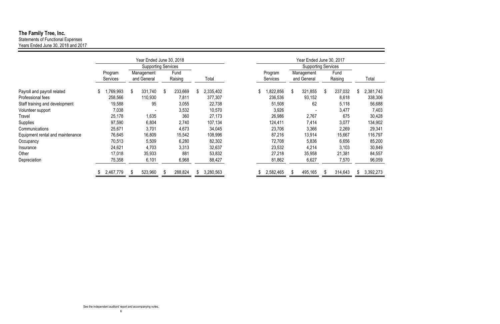|                                  | Year Ended June 30, 2018   |    |                            |    |                 |  | Year Ended June 30, 2017 |  |    |                            |    |                            |    |                 |  |           |
|----------------------------------|----------------------------|----|----------------------------|----|-----------------|--|--------------------------|--|----|----------------------------|----|----------------------------|----|-----------------|--|-----------|
|                                  |                            |    | <b>Supporting Services</b> |    |                 |  |                          |  |    |                            |    | <b>Supporting Services</b> |    |                 |  |           |
|                                  | Program<br><b>Services</b> |    | Management<br>and General  |    | Fund<br>Raising |  | Total                    |  |    | Program<br><b>Services</b> |    | Management<br>and General  |    | Fund<br>Raising |  | Total     |
| Payroll and payroll related      | \$<br>,769,993             | \$ | 331,740                    | \$ | 233,669         |  | 2,335,402                |  | \$ | ,822,856                   | \$ | 321,855                    | \$ | 237,032         |  | 2,381,743 |
| Professional fees                | 258,566                    |    | 110,930                    |    | 7,811           |  | 377,307                  |  |    | 236,536                    |    | 93,152                     |    | 8,618           |  | 338,306   |
| Staff training and development   | 19,588                     |    | 95                         |    | 3,055           |  | 22,738                   |  |    | 51,508                     |    | 62                         |    | 5,118           |  | 56,688    |
| Volunteer support                | 7,038                      |    |                            |    | 3,532           |  | 10,570                   |  |    | 3,926                      |    |                            |    | 3,477           |  | 7,403     |
| Travel                           | 25,178                     |    | 1,635                      |    | 360             |  | 27,173                   |  |    | 26,986                     |    | 2,767                      |    | 675             |  | 30,428    |
| Supplies                         | 97,590                     |    | 6,804                      |    | 2,740           |  | 107,134                  |  |    | 124,411                    |    | 7,414                      |    | 3,077           |  | 134,902   |
| Communications                   | 25,671                     |    | 3,701                      |    | 4,673           |  | 34,045                   |  |    | 23,706                     |    | 3,366                      |    | 2,269           |  | 29,341    |
| Equipment rental and maintenance | 76,645                     |    | 16,809                     |    | 15,542          |  | 108,996                  |  |    | 87,216                     |    | 13,914                     |    | 15,667          |  | 116,797   |
| Occupancy                        | 70,513                     |    | 5,509                      |    | 6,280           |  | 82,302                   |  |    | 72,708                     |    | 5,836                      |    | 6,656           |  | 85,200    |
| Insurance                        | 24,621                     |    | 4,703                      |    | 3,313           |  | 32,637                   |  |    | 23,532                     |    | 4,214                      |    | 3,103           |  | 30,849    |
| Other                            | 17,018                     |    | 35,933                     |    | 881             |  | 53,832                   |  |    | 27,218                     |    | 35,958                     |    | 21,381          |  | 84,557    |
| Depreciation                     | 75,358                     |    | 6,101                      |    | 6,968           |  | 88,427                   |  |    | 81,862                     |    | 6,627                      |    | 7,570           |  | 96,059    |
|                                  | 2,467,779                  |    | 523,960                    |    | 288,824         |  | 3,280,563                |  |    | 2,582,465                  |    | 495,165                    |    | 314,643         |  | 3,392,273 |

# **The Family Tree, Inc.**

Statements of Functional Expenses Years Ended June 30, 2018 and 2017

| . .<br>×<br>I |  |
|---------------|--|
|               |  |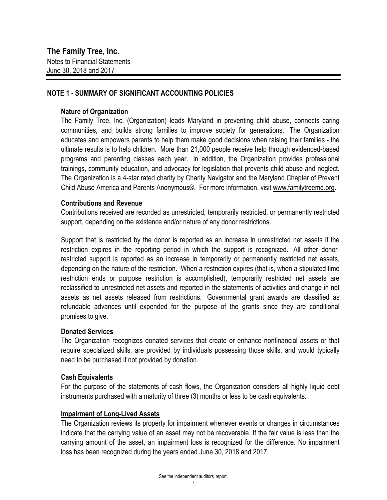#### **NOTE 1 - SUMMARY OF SIGNIFICANT ACCOUNTING POLICIES**

#### **Nature of Organization**

The Family Tree, Inc. (Organization) leads Maryland in preventing child abuse, connects caring communities, and builds strong families to improve society for generations. The Organization educates and empowers parents to help them make good decisions when raising their families - the ultimate results is to help children. More than 21,000 people receive help through evidenced-based programs and parenting classes each year. In addition, the Organization provides professional trainings, community education, and advocacy for legislation that prevents child abuse and neglect. The Organization is a 4-star rated charity by Charity Navigator and the Maryland Chapter of Prevent Child Abuse America and Parents Anonymous®. For more information, visit www.familytreemd.org.

#### **Contributions and Revenue**

Contributions received are recorded as unrestricted, temporarily restricted, or permanently restricted support, depending on the existence and/or nature of any donor restrictions.

Support that is restricted by the donor is reported as an increase in unrestricted net assets if the restriction expires in the reporting period in which the support is recognized. All other donorrestricted support is reported as an increase in temporarily or permanently restricted net assets, depending on the nature of the restriction. When a restriction expires (that is, when a stipulated time restriction ends or purpose restriction is accomplished), temporarily restricted net assets are reclassified to unrestricted net assets and reported in the statements of activities and change in net assets as net assets released from restrictions. Governmental grant awards are classified as refundable advances until expended for the purpose of the grants since they are conditional promises to give.

#### **Donated Services**

The Organization recognizes donated services that create or enhance nonfinancial assets or that require specialized skills, are provided by individuals possessing those skills, and would typically need to be purchased if not provided by donation.

#### **Cash Equivalents**

For the purpose of the statements of cash flows, the Organization considers all highly liquid debt instruments purchased with a maturity of three (3) months or less to be cash equivalents.

#### **Impairment of Long-Lived Assets**

The Organization reviews its property for impairment whenever events or changes in circumstances indicate that the carrying value of an asset may not be recoverable. If the fair value is less than the carrying amount of the asset, an impairment loss is recognized for the difference. No impairment loss has been recognized during the years ended June 30, 2018 and 2017.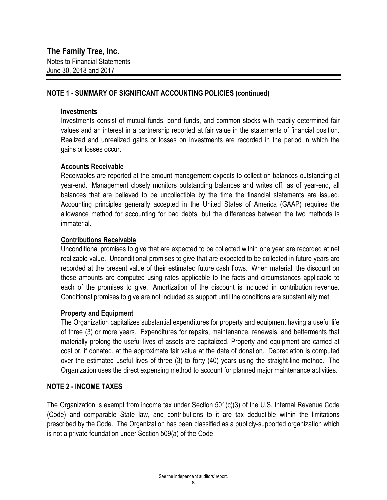#### **NOTE 1 - SUMMARY OF SIGNIFICANT ACCOUNTING POLICIES (continued)**

#### **Investments**

Investments consist of mutual funds, bond funds, and common stocks with readily determined fair values and an interest in a partnership reported at fair value in the statements of financial position. Realized and unrealized gains or losses on investments are recorded in the period in which the gains or losses occur.

#### **Accounts Receivable**

Receivables are reported at the amount management expects to collect on balances outstanding at year-end. Management closely monitors outstanding balances and writes off, as of year-end, all balances that are believed to be uncollectible by the time the financial statements are issued. Accounting principles generally accepted in the United States of America (GAAP) requires the allowance method for accounting for bad debts, but the differences between the two methods is immaterial.

#### **Contributions Receivable**

Unconditional promises to give that are expected to be collected within one year are recorded at net realizable value. Unconditional promises to give that are expected to be collected in future years are recorded at the present value of their estimated future cash flows. When material, the discount on those amounts are computed using rates applicable to the facts and circumstances applicable to each of the promises to give. Amortization of the discount is included in contribution revenue. Conditional promises to give are not included as support until the conditions are substantially met.

#### **Property and Equipment**

The Organization capitalizes substantial expenditures for property and equipment having a useful life of three (3) or more years. Expenditures for repairs, maintenance, renewals, and betterments that materially prolong the useful lives of assets are capitalized. Property and equipment are carried at cost or, if donated, at the approximate fair value at the date of donation. Depreciation is computed over the estimated useful lives of three (3) to forty (40) years using the straight-line method. The Organization uses the direct expensing method to account for planned major maintenance activities.

#### **NOTE 2 - INCOME TAXES**

The Organization is exempt from income tax under Section 501(c)(3) of the U.S. Internal Revenue Code (Code) and comparable State law, and contributions to it are tax deductible within the limitations prescribed by the Code. The Organization has been classified as a publicly-supported organization which is not a private foundation under Section 509(a) of the Code.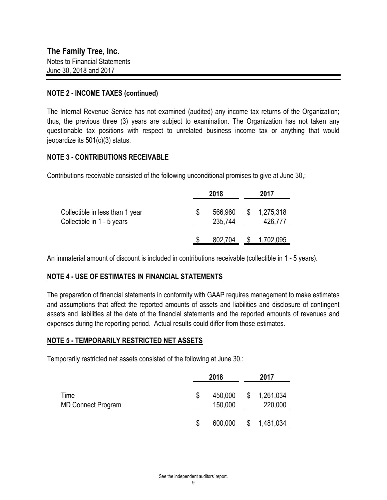#### **NOTE 2 - INCOME TAXES (continued)**

The Internal Revenue Service has not examined (audited) any income tax returns of the Organization; thus, the previous three (3) years are subject to examination. The Organization has not taken any questionable tax positions with respect to unrelated business income tax or anything that would jeopardize its 501(c)(3) status.

#### **NOTE 3 - CONTRIBUTIONS RECEIVABLE**

Contributions receivable consisted of the following unconditional promises to give at June 30,:

|                                                               |   | 2018               | 2017                   |
|---------------------------------------------------------------|---|--------------------|------------------------|
| Collectible in less than 1 year<br>Collectible in 1 - 5 years | S | 566,960<br>235,744 | \$1,275,318<br>426,777 |
|                                                               |   | 802,704            | 1,702,095              |

An immaterial amount of discount is included in contributions receivable (collectible in 1 - 5 years).

#### **NOTE 4 - USE OF ESTIMATES IN FINANCIAL STATEMENTS**

The preparation of financial statements in conformity with GAAP requires management to make estimates and assumptions that affect the reported amounts of assets and liabilities and disclosure of contingent assets and liabilities at the date of the financial statements and the reported amounts of revenues and expenses during the reporting period. Actual results could differ from those estimates.

#### **NOTE 5 - TEMPORARILY RESTRICTED NET ASSETS**

Temporarily restricted net assets consisted of the following at June 30,:

|                                   | 2018                     | 2017                       |
|-----------------------------------|--------------------------|----------------------------|
| Time<br><b>MD Connect Program</b> | \$<br>450,000<br>150,000 | \$<br>1,261,034<br>220,000 |
|                                   | 600,000                  | 1,481,034                  |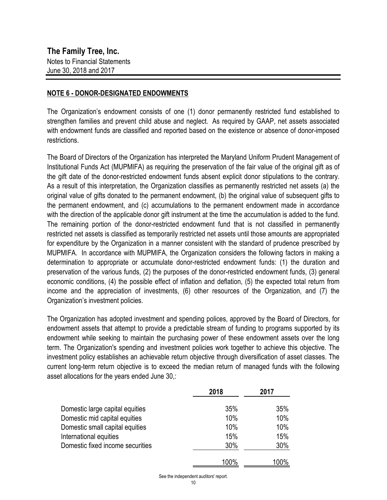#### **NOTE 6 - DONOR-DESIGNATED ENDOWMENTS**

The Organization's endowment consists of one (1) donor permanently restricted fund established to strengthen families and prevent child abuse and neglect. As required by GAAP, net assets associated with endowment funds are classified and reported based on the existence or absence of donor-imposed restrictions.

The Board of Directors of the Organization has interpreted the Maryland Uniform Prudent Management of Institutional Funds Act (MUPMIFA) as requiring the preservation of the fair value of the original gift as of the gift date of the donor-restricted endowment funds absent explicit donor stipulations to the contrary. As a result of this interpretation, the Organization classifies as permanently restricted net assets (a) the original value of gifts donated to the permanent endowment, (b) the original value of subsequent gifts to the permanent endowment, and (c) accumulations to the permanent endowment made in accordance with the direction of the applicable donor gift instrument at the time the accumulation is added to the fund. The remaining portion of the donor-restricted endowment fund that is not classified in permanently restricted net assets is classified as temporarily restricted net assets until those amounts are appropriated for expenditure by the Organization in a manner consistent with the standard of prudence prescribed by MUPMIFA. In accordance with MUPMIFA, the Organization considers the following factors in making a determination to appropriate or accumulate donor-restricted endowment funds: (1) the duration and preservation of the various funds, (2) the purposes of the donor-restricted endowment funds, (3) general economic conditions, (4) the possible effect of inflation and deflation, (5) the expected total return from income and the appreciation of investments, (6) other resources of the Organization, and (7) the Organization's investment policies.

The Organization has adopted investment and spending polices, approved by the Board of Directors, for endowment assets that attempt to provide a predictable stream of funding to programs supported by its endowment while seeking to maintain the purchasing power of these endowment assets over the long term. The Organization's spending and investment policies work together to achieve this objective. The investment policy establishes an achievable return objective through diversification of asset classes. The current long-term return objective is to exceed the median return of managed funds with the following asset allocations for the years ended June 30,:

|                                  | 2018 | 2017 |
|----------------------------------|------|------|
| Domestic large capital equities  | 35%  | 35%  |
| Domestic mid capital equities    | 10%  | 10%  |
| Domestic small capital equities  | 10%  | 10%  |
| International equities           | 15%  | 15%  |
| Domestic fixed income securities | 30%  | 30%  |
|                                  | 100% | 100% |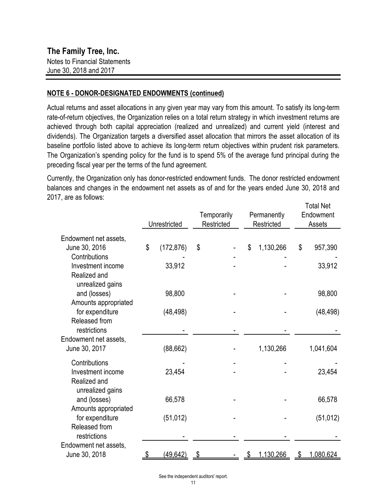#### **NOTE 6 - DONOR-DESIGNATED ENDOWMENTS (continued)**

Actual returns and asset allocations in any given year may vary from this amount. To satisfy its long-term rate-of-return objectives, the Organization relies on a total return strategy in which investment returns are achieved through both capital appreciation (realized and unrealized) and current yield (interest and dividends). The Organization targets a diversified asset allocation that mirrors the asset allocation of its baseline portfolio listed above to achieve its long-term return objectives within prudent risk parameters. The Organization's spending policy for the fund is to spend 5% of the average fund principal during the preceding fiscal year per the terms of the fund agreement.

Total Net Currently, the Organization only has donor-restricted endowment funds. The donor restricted endowment balances and changes in the endowment net assets as of and for the years ended June 30, 2018 and 2017, are as follows:

|                                      | Unrestricted |            | Temporarily<br>Restricted | Permanently<br>Restricted | ι υιαι ινσι<br>Endowment<br>Assets |
|--------------------------------------|--------------|------------|---------------------------|---------------------------|------------------------------------|
| Endowment net assets,                |              |            |                           |                           |                                    |
| June 30, 2016                        | \$           | (172, 876) | \$                        | \$<br>1,130,266           | \$<br>957,390                      |
| Contributions                        |              |            |                           |                           |                                    |
| Investment income<br>Realized and    |              | 33,912     |                           |                           | 33,912                             |
| unrealized gains                     |              |            |                           |                           |                                    |
| and (losses)                         |              | 98,800     |                           |                           | 98,800                             |
| Amounts appropriated                 |              |            |                           |                           |                                    |
| for expenditure                      |              | (48, 498)  |                           |                           | (48, 498)                          |
| Released from                        |              |            |                           |                           |                                    |
| restrictions                         |              |            |                           |                           |                                    |
| Endowment net assets,                |              |            |                           |                           |                                    |
| June 30, 2017                        |              | (88, 662)  |                           | 1,130,266                 | 1,041,604                          |
| Contributions                        |              |            |                           |                           |                                    |
| Investment income                    |              | 23,454     |                           |                           | 23,454                             |
| Realized and                         |              |            |                           |                           |                                    |
| unrealized gains                     |              |            |                           |                           |                                    |
| and (losses)<br>Amounts appropriated |              | 66,578     |                           |                           | 66,578                             |
| for expenditure                      |              | (51, 012)  |                           |                           | (51, 012)                          |
| Released from                        |              |            |                           |                           |                                    |
| restrictions                         |              |            |                           |                           |                                    |
| Endowment net assets,                |              |            |                           |                           |                                    |
| June 30, 2018                        | \$           | (49, 642)  | \$                        | \$<br>1,130,266           | \$<br>1,080,624                    |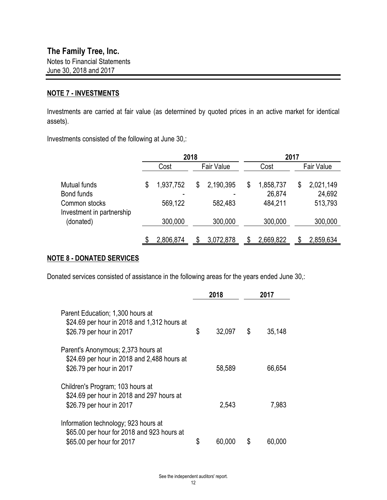#### **NOTE 7 - INVESTMENTS**

Investments are carried at fair value (as determined by quoted prices in an active market for identical assets).

Investments consisted of the following at June 30,:

|                                            | 2018            |    |                   |    | 2017                |    |                     |  |  |  |
|--------------------------------------------|-----------------|----|-------------------|----|---------------------|----|---------------------|--|--|--|
|                                            | Cost            |    | <b>Fair Value</b> |    | Cost                |    | Fair Value          |  |  |  |
| Mutual funds<br>Bond funds                 | \$<br>1,937,752 | \$ | 2,190,395         | \$ | 1,858,737<br>26,874 | \$ | 2,021,149<br>24,692 |  |  |  |
| Common stocks<br>Investment in partnership | 569,122         |    | 582,483           |    | 484,211             |    | 513,793             |  |  |  |
| (donated)                                  | 300,000         |    | 300,000           |    | 300,000             |    | 300,000             |  |  |  |
|                                            | 2,806,874       |    | 3,072,878         |    | 2,669,822           |    | 2,859,634           |  |  |  |

#### **NOTE 8 - DONATED SERVICES**

Donated services consisted of assistance in the following areas for the years ended June 30,:

|                                                                                                                 | 2018         | 2017         |
|-----------------------------------------------------------------------------------------------------------------|--------------|--------------|
| Parent Education; 1,300 hours at<br>\$24.69 per hour in 2018 and 1,312 hours at<br>\$26.79 per hour in 2017     | \$<br>32,097 | \$<br>35,148 |
| Parent's Anonymous; 2,373 hours at<br>\$24.69 per hour in 2018 and 2,488 hours at<br>\$26.79 per hour in 2017   | 58,589       | 66,654       |
| Children's Program; 103 hours at<br>\$24.69 per hour in 2018 and 297 hours at<br>\$26.79 per hour in 2017       | 2,543        | 7,983        |
| Information technology; 923 hours at<br>\$65.00 per hour for 2018 and 923 hours at<br>\$65.00 per hour for 2017 | \$<br>60,000 | \$<br>60,000 |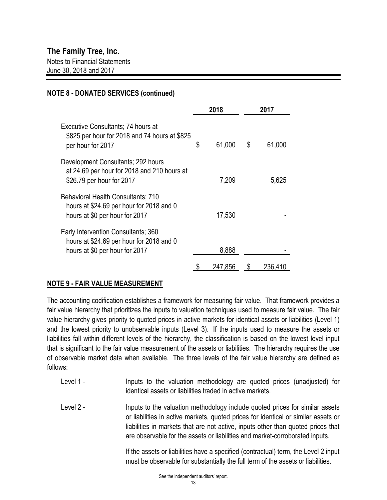### **NOTE 8 - DONATED SERVICES (continued)**

|                                                                                                                   | 2018         | 2017 |         |  |
|-------------------------------------------------------------------------------------------------------------------|--------------|------|---------|--|
| Executive Consultants; 74 hours at<br>\$825 per hour for 2018 and 74 hours at \$825<br>per hour for 2017          | \$<br>61,000 | S    | 61,000  |  |
| Development Consultants; 292 hours<br>at 24.69 per hour for 2018 and 210 hours at<br>\$26.79 per hour for 2017    | 7,209        |      | 5,625   |  |
| Behavioral Health Consultants; 710<br>hours at \$24.69 per hour for 2018 and 0<br>hours at \$0 per hour for 2017  | 17,530       |      |         |  |
| Early Intervention Consultants; 360<br>hours at \$24.69 per hour for 2018 and 0<br>hours at \$0 per hour for 2017 | 8,888        |      |         |  |
|                                                                                                                   | 247,856      |      | 236,410 |  |

## **NOTE 9 - FAIR VALUE MEASUREMENT**

The accounting codification establishes a framework for measuring fair value. That framework provides a fair value hierarchy that prioritizes the inputs to valuation techniques used to measure fair value. The fair value hierarchy gives priority to quoted prices in active markets for identical assets or liabilities (Level 1) and the lowest priority to unobservable inputs (Level 3). If the inputs used to measure the assets or liabilities fall within different levels of the hierarchy, the classification is based on the lowest level input that is significant to the fair value measurement of the assets or liabilities. The hierarchy requires the use of observable market data when available. The three levels of the fair value hierarchy are defined as follows:

- Inputs to the valuation methodology are quoted prices (unadjusted) for identical assets or liabilities traded in active markets. Level 1 -
- Inputs to the valuation methodology include quoted prices for similar assets or liabilities in active markets, quoted prices for identical or similar assets or liabilities in markets that are not active, inputs other than quoted prices that are observable for the assets or liabilities and market-corroborated inputs. Level 2 -

If the assets or liabilities have a specified (contractual) term, the Level 2 input must be observable for substantially the full term of the assets or liabilities.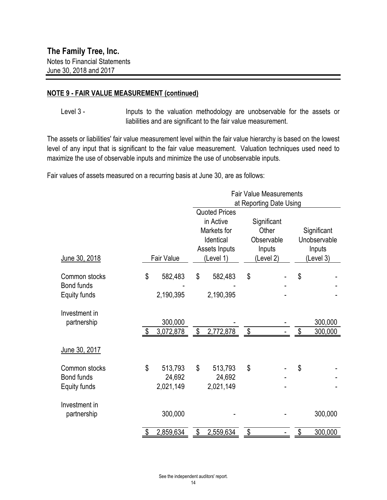#### **NOTE 9 - FAIR VALUE MEASUREMENT (continued)**

Inputs to the valuation methodology are unobservable for the assets or liabilities and are significant to the fair value measurement. Level 3 -

The assets or liabilities' fair value measurement level within the fair value hierarchy is based on the lowest level of any input that is significant to the fair value measurement. Valuation techniques used need to maximize the use of observable inputs and minimize the use of unobservable inputs.

Fair values of assets measured on a recurring basis at June 30, are as follows:

|                                             |                           |                                | <b>Fair Value Measurements</b>                                                              |                                |                                                                                      |  |                                                    |                    |
|---------------------------------------------|---------------------------|--------------------------------|---------------------------------------------------------------------------------------------|--------------------------------|--------------------------------------------------------------------------------------|--|----------------------------------------------------|--------------------|
| June 30, 2018                               |                           | Fair Value                     | <b>Quoted Prices</b><br>in Active<br>Markets for<br>Identical<br>Assets Inputs<br>(Level 1) |                                | at Reporting Date Using<br>Significant<br>Other<br>Observable<br>Inputs<br>(Level 2) |  | Significant<br>Unobservable<br>Inputs<br>(Level 3) |                    |
| Common stocks<br>Bond funds<br>Equity funds | \$                        | 582,483<br>2,190,395           | \$                                                                                          | 582,483<br>2,190,395           | \$                                                                                   |  | \$                                                 |                    |
| Investment in<br>partnership                | $\boldsymbol{\mathsf{S}}$ | 300,000<br>3,072,878           | \$                                                                                          | 2,772,878                      | $\boldsymbol{\mathsf{S}}$                                                            |  | \$                                                 | 300,000<br>300,000 |
| June 30, 2017                               |                           |                                |                                                                                             |                                |                                                                                      |  |                                                    |                    |
| Common stocks<br>Bond funds<br>Equity funds | \$                        | 513,793<br>24,692<br>2,021,149 | \$                                                                                          | 513,793<br>24,692<br>2,021,149 | \$                                                                                   |  | \$                                                 |                    |
| Investment in<br>partnership                |                           | 300,000                        |                                                                                             |                                |                                                                                      |  |                                                    | 300,000            |
|                                             | \$                        | 2,859,634                      | \$                                                                                          | 2,559,634                      | \$                                                                                   |  | \$                                                 | 300,000            |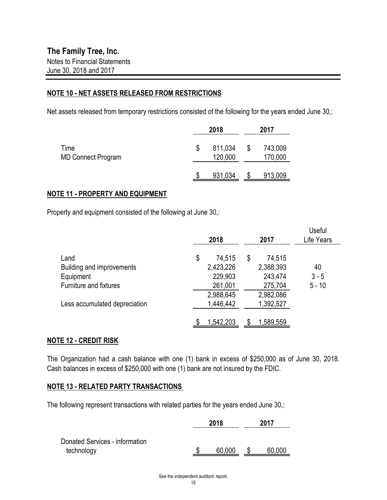#### **NOTE 10 - NET ASSETS RELEASED FROM RESTRICTIONS**

Net assets released from temporary restrictions consisted of the following for the years ended June 30,:

|                                   | 2018                     |   |                    |
|-----------------------------------|--------------------------|---|--------------------|
| Time<br><b>MD Connect Program</b> | \$<br>811,034<br>120,000 | S | 743,009<br>170,000 |
|                                   | 931,034                  |   | 913,009            |

#### **NOTE 11 - PROPERTY AND EQUIPMENT**

Property and equipment consisted of the following at June 30,:

|                               | 2018         | 2017         | Useful<br>Life Years |
|-------------------------------|--------------|--------------|----------------------|
| Land                          | \$<br>74,515 | \$<br>74,515 |                      |
| Building and improvements     | 2,423,226    | 2,388,393    | 40                   |
| Equipment                     | 229,903      | 243,474      | $3 - 5$              |
| <b>Furniture and fixtures</b> | 261,001      | 275,704      | $5 - 10$             |
|                               | 2,988,645    | 2,982,086    |                      |
| Less accumulated depreciation | 1,446,442    | 1,392,527    |                      |
|                               | 1,542,203    | 1,589,559    |                      |

#### **NOTE 12 - CREDIT RISK**

The Organization had a cash balance with one (1) bank in excess of \$250,000 as of June 30, 2018. Cash balances in excess of \$250,000 with one (1) bank are not insured by the FDIC.

#### **NOTE 13 - RELATED PARTY TRANSACTIONS**

The following represent transactions with related parties for the years ended June 30,:

|                                              | 2018   | 2017 |        |  |
|----------------------------------------------|--------|------|--------|--|
| Donated Services - information<br>technology | 60,000 |      | 60,000 |  |